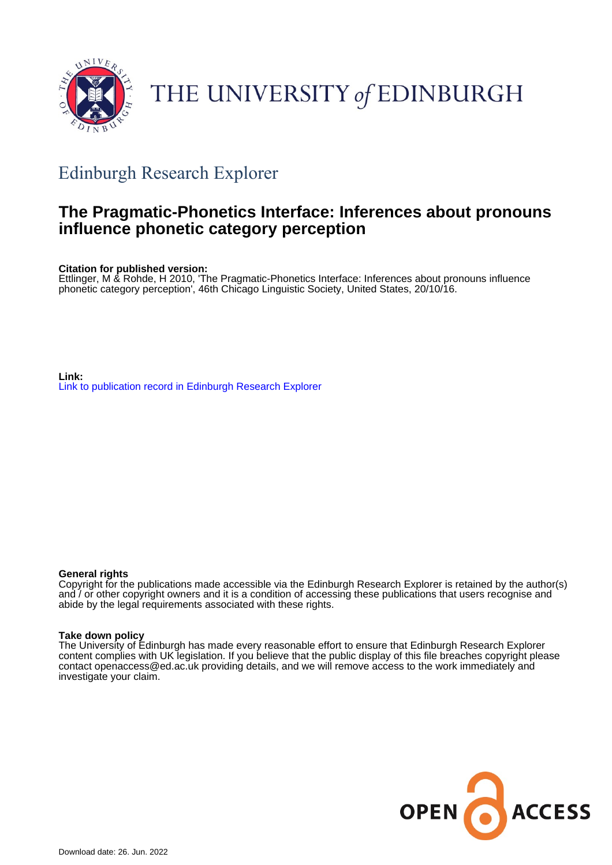

# THE UNIVERSITY of EDINBURGH

# Edinburgh Research Explorer

# **The Pragmatic-Phonetics Interface: Inferences about pronouns influence phonetic category perception**

**Citation for published version:**

Ettlinger, M & Rohde, H 2010, 'The Pragmatic-Phonetics Interface: Inferences about pronouns influence phonetic category perception', 46th Chicago Linguistic Society, United States, 20/10/16.

**Link:** [Link to publication record in Edinburgh Research Explorer](https://www.research.ed.ac.uk/en/publications/4200c3f0-fc6e-4607-89c7-e23fe60452f8)

#### **General rights**

Copyright for the publications made accessible via the Edinburgh Research Explorer is retained by the author(s) and / or other copyright owners and it is a condition of accessing these publications that users recognise and abide by the legal requirements associated with these rights.

#### **Take down policy**

The University of Edinburgh has made every reasonable effort to ensure that Edinburgh Research Explorer content complies with UK legislation. If you believe that the public display of this file breaches copyright please contact openaccess@ed.ac.uk providing details, and we will remove access to the work immediately and investigate your claim.

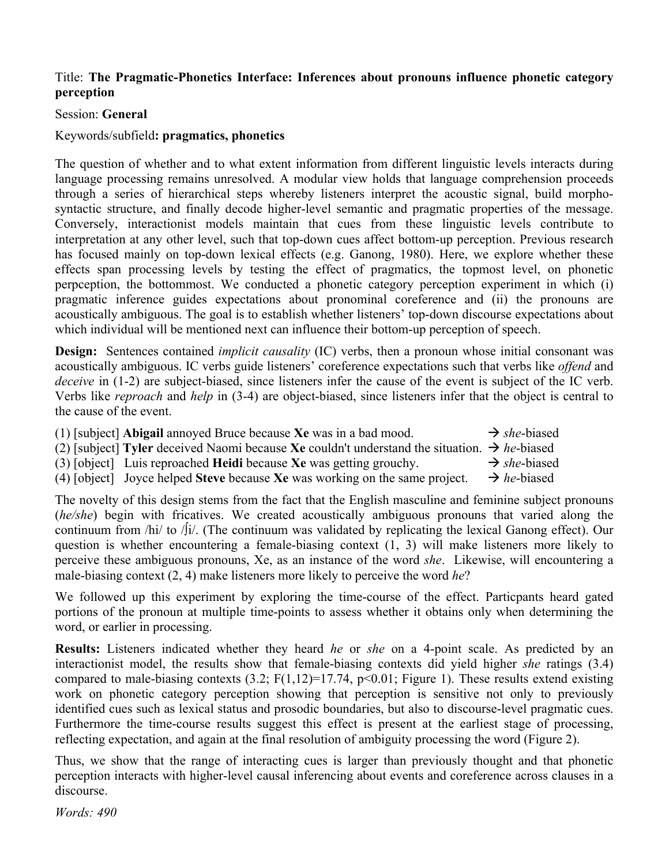## Title: **The Pragmatic-Phonetics Interface: Inferences about pronouns influence phonetic category perception**

### Session: **General**

# Keywords/subfield**: pragmatics, phonetics**

The question of whether and to what extent information from different linguistic levels interacts during language processing remains unresolved. A modular view holds that language comprehension proceeds through a series of hierarchical steps whereby listeners interpret the acoustic signal, build morphosyntactic structure, and finally decode higher-level semantic and pragmatic properties of the message. Conversely, interactionist models maintain that cues from these linguistic levels contribute to interpretation at any other level, such that top-down cues affect bottom-up perception. Previous research has focused mainly on top-down lexical effects (e.g. Ganong, 1980). Here, we explore whether these effects span processing levels by testing the effect of pragmatics, the topmost level, on phonetic perpception, the bottommost. We conducted a phonetic category perception experiment in which (i) pragmatic inference guides expectations about pronominal coreference and (ii) the pronouns are acoustically ambiguous. The goal is to establish whether listeners' top-down discourse expectations about which individual will be mentioned next can influence their bottom-up perception of speech.

**Design:** Sentences contained *implicit causality* (IC) verbs, then a pronoun whose initial consonant was acoustically ambiguous. IC verbs guide listeners' coreference expectations such that verbs like *offend* and *deceive* in (1-2) are subject-biased, since listeners infer the cause of the event is subject of the IC verb. Verbs like *reproach* and *help* in (3-4) are object-biased, since listeners infer that the object is central to the cause of the event.

| (1) [subject] Abigail annoyed Bruce because Xe was in a bad mood.                                        | $\rightarrow$ she-biased |
|----------------------------------------------------------------------------------------------------------|--------------------------|
| (2) [subject] Tyler deceived Naomi because Xe couldn't understand the situation. $\rightarrow$ he-biased |                          |
| (3) [object] Luis reproached <b>Heidi</b> because <b>Xe</b> was getting grouchy.                         | $\rightarrow$ she-biased |

(4) [object] Joyce helped **Steve** because **Xe** was working on the same project.  $\rightarrow$  he-biased

The novelty of this design stems from the fact that the English masculine and feminine subject pronouns (*he/she*) begin with fricatives. We created acoustically ambiguous pronouns that varied along the continuum from /hi/ to / $\int$ i/. (The continuum was validated by replicating the lexical Ganong effect). Our question is whether encountering a female-biasing context (1, 3) will make listeners more likely to perceive these ambiguous pronouns, Xe, as an instance of the word *she*. Likewise, will encountering a male-biasing context (2, 4) make listeners more likely to perceive the word *he*?

We followed up this experiment by exploring the time-course of the effect. Particpants heard gated portions of the pronoun at multiple time-points to assess whether it obtains only when determining the word, or earlier in processing.

**Results:** Listeners indicated whether they heard *he* or *she* on a 4-point scale. As predicted by an interactionist model, the results show that female-biasing contexts did yield higher *she* ratings (3.4) compared to male-biasing contexts  $(3.2; F(1,12)=17.74, p<0.01; Figure 1)$ . These results extend existing work on phonetic category perception showing that perception is sensitive not only to previously identified cues such as lexical status and prosodic boundaries, but also to discourse-level pragmatic cues. Furthermore the time-course results suggest this effect is present at the earliest stage of processing, reflecting expectation, and again at the final resolution of ambiguity processing the word (Figure 2).

Thus, we show that the range of interacting cues is larger than previously thought and that phonetic perception interacts with higher-level causal inferencing about events and coreference across clauses in a discourse.

*Words: 490*